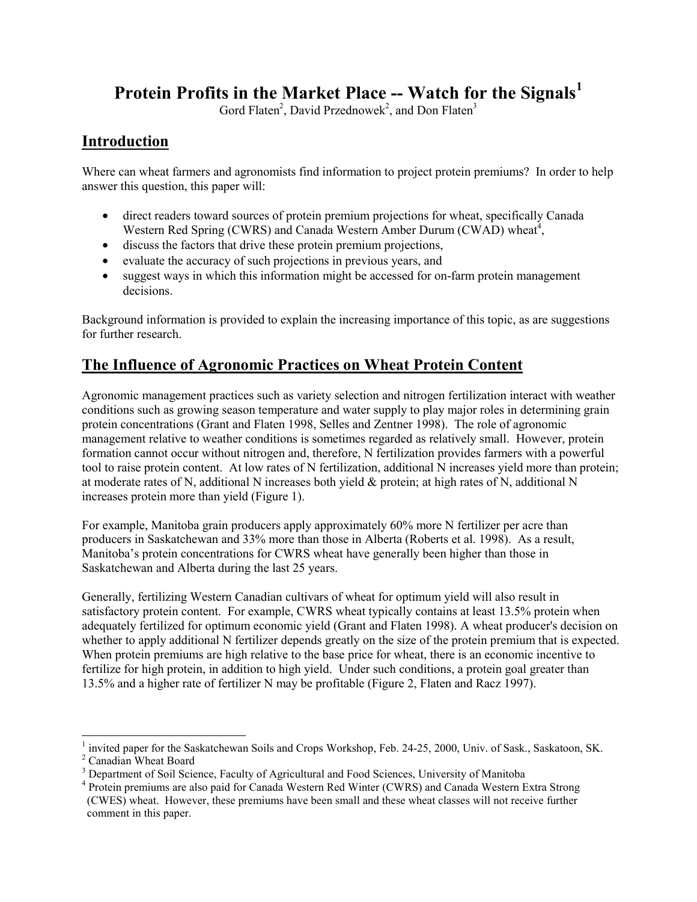# **Protein Profits in the Market Place -- Watch for the Signals<sup>1</sup>**

Gord Flaten<sup>2</sup>, David Przednowek<sup>2</sup>, and Don Flaten<sup>3</sup>

## **Introduction**

Where can wheat farmers and agronomists find information to project protein premiums? In order to help answer this question, this paper will:

- direct readers toward sources of protein premium projections for wheat, specifically Canada Western Red Spring (CWRS) and Canada Western Amber Durum (CWAD) wheat<sup>4</sup>,
- discuss the factors that drive these protein premium projections,
- evaluate the accuracy of such projections in previous years, and
- suggest ways in which this information might be accessed for on-farm protein management decisions.

Background information is provided to explain the increasing importance of this topic, as are suggestions for further research.

# **The Influence of Agronomic Practices on Wheat Protein Content**

Agronomic management practices such as variety selection and nitrogen fertilization interact with weather conditions such as growing season temperature and water supply to play major roles in determining grain protein concentrations (Grant and Flaten 1998, Selles and Zentner 1998). The role of agronomic management relative to weather conditions is sometimes regarded as relatively small. However, protein formation cannot occur without nitrogen and, therefore, N fertilization provides farmers with a powerful tool to raise protein content. At low rates of N fertilization, additional N increases yield more than protein; at moderate rates of N, additional N increases both yield & protein; at high rates of N, additional N increases protein more than yield (Figure 1).

For example, Manitoba grain producers apply approximately 60% more N fertilizer per acre than producers in Saskatchewan and 33% more than those in Alberta (Roberts et al. 1998). As a result, Manitoba's protein concentrations for CWRS wheat have generally been higher than those in Saskatchewan and Alberta during the last 25 years.

Generally, fertilizing Western Canadian cultivars of wheat for optimum yield will also result in satisfactory protein content. For example, CWRS wheat typically contains at least 13.5% protein when adequately fertilized for optimum economic yield (Grant and Flaten 1998). A wheat producer's decision on whether to apply additional N fertilizer depends greatly on the size of the protein premium that is expected. When protein premiums are high relative to the base price for wheat, there is an economic incentive to fertilize for high protein, in addition to high yield. Under such conditions, a protein goal greater than 13.5% and a higher rate of fertilizer N may be profitable (Figure 2, Flaten and Racz 1997).

l

<sup>1</sup> invited paper for the Saskatchewan Soils and Crops Workshop, Feb. 24-25, 2000, Univ. of Sask., Saskatoon, SK.

<sup>&</sup>lt;sup>2</sup> Canadian Wheat Board

<sup>&</sup>lt;sup>3</sup> Department of Soil Science, Faculty of Agricultural and Food Sciences, University of Manitoba

<sup>&</sup>lt;sup>4</sup> Protein premiums are also paid for Canada Western Red Winter (CWRS) and Canada Western Extra Strong (CWES) wheat. However, these premiums have been small and these wheat classes will not receive further comment in this paper.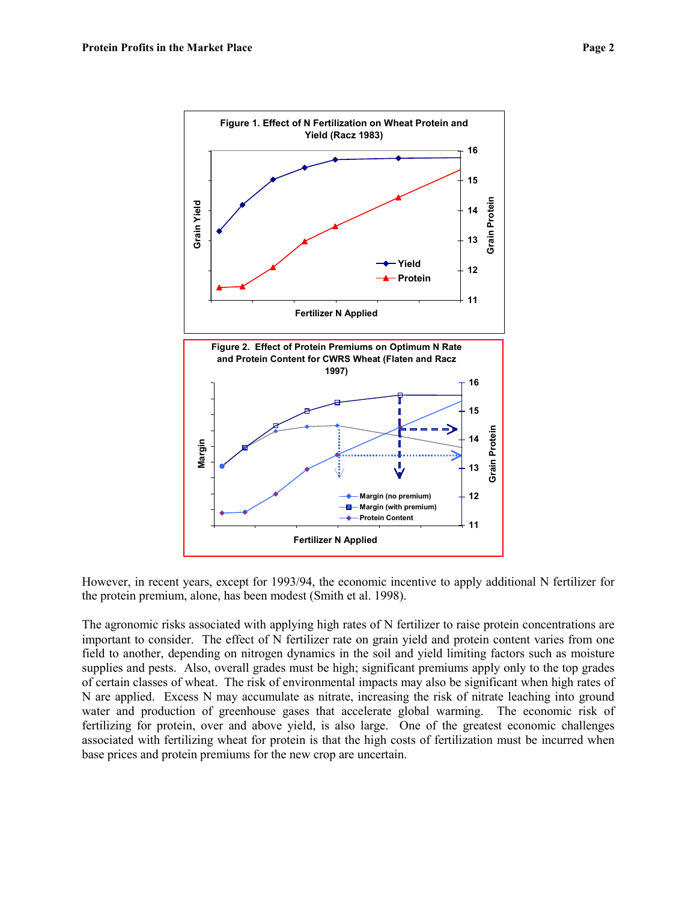

However, in recent years, except for 1993/94, the economic incentive to apply additional N fertilizer for the protein premium, alone, has been modest (Smith et al. 1998).

The agronomic risks associated with applying high rates of N fertilizer to raise protein concentrations are important to consider. The effect of N fertilizer rate on grain yield and protein content varies from one field to another, depending on nitrogen dynamics in the soil and yield limiting factors such as moisture supplies and pests. Also, overall grades must be high; significant premiums apply only to the top grades of certain classes of wheat. The risk of environmental impacts may also be significant when high rates of N are applied. Excess N may accumulate as nitrate, increasing the risk of nitrate leaching into ground water and production of greenhouse gases that accelerate global warming. The economic risk of fertilizing for protein, over and above yield, is also large. One of the greatest economic challenges associated with fertilizing wheat for protein is that the high costs of fertilization must be incurred when base prices and protein premiums for the new crop are uncertain.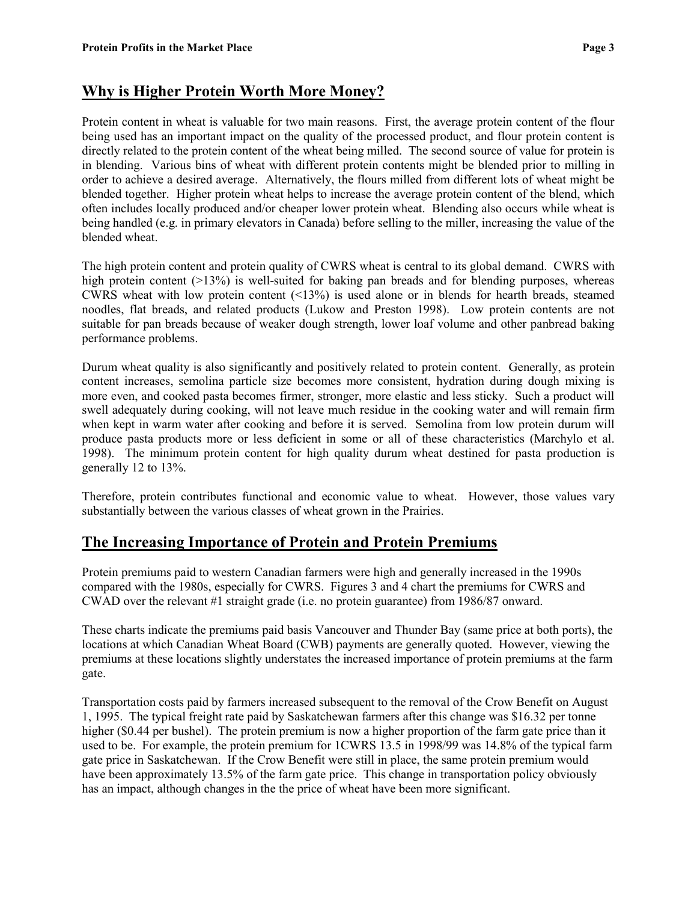## **Why is Higher Protein Worth More Money?**

Protein content in wheat is valuable for two main reasons. First, the average protein content of the flour being used has an important impact on the quality of the processed product, and flour protein content is directly related to the protein content of the wheat being milled. The second source of value for protein is in blending. Various bins of wheat with different protein contents might be blended prior to milling in order to achieve a desired average. Alternatively, the flours milled from different lots of wheat might be blended together. Higher protein wheat helps to increase the average protein content of the blend, which often includes locally produced and/or cheaper lower protein wheat. Blending also occurs while wheat is being handled (e.g. in primary elevators in Canada) before selling to the miller, increasing the value of the blended wheat.

The high protein content and protein quality of CWRS wheat is central to its global demand. CWRS with high protein content (>13%) is well-suited for baking pan breads and for blending purposes, whereas CWRS wheat with low protein content (<13%) is used alone or in blends for hearth breads, steamed noodles, flat breads, and related products (Lukow and Preston 1998). Low protein contents are not suitable for pan breads because of weaker dough strength, lower loaf volume and other panbread baking performance problems.

Durum wheat quality is also significantly and positively related to protein content. Generally, as protein content increases, semolina particle size becomes more consistent, hydration during dough mixing is more even, and cooked pasta becomes firmer, stronger, more elastic and less sticky. Such a product will swell adequately during cooking, will not leave much residue in the cooking water and will remain firm when kept in warm water after cooking and before it is served. Semolina from low protein durum will produce pasta products more or less deficient in some or all of these characteristics (Marchylo et al. 1998). The minimum protein content for high quality durum wheat destined for pasta production is generally 12 to 13%.

Therefore, protein contributes functional and economic value to wheat. However, those values vary substantially between the various classes of wheat grown in the Prairies.

#### **The Increasing Importance of Protein and Protein Premiums**

Protein premiums paid to western Canadian farmers were high and generally increased in the 1990s compared with the 1980s, especially for CWRS. Figures 3 and 4 chart the premiums for CWRS and CWAD over the relevant #1 straight grade (i.e. no protein guarantee) from 1986/87 onward.

These charts indicate the premiums paid basis Vancouver and Thunder Bay (same price at both ports), the locations at which Canadian Wheat Board (CWB) payments are generally quoted. However, viewing the premiums at these locations slightly understates the increased importance of protein premiums at the farm gate.

Transportation costs paid by farmers increased subsequent to the removal of the Crow Benefit on August 1, 1995. The typical freight rate paid by Saskatchewan farmers after this change was \$16.32 per tonne higher (\$0.44 per bushel). The protein premium is now a higher proportion of the farm gate price than it used to be. For example, the protein premium for 1CWRS 13.5 in 1998/99 was 14.8% of the typical farm gate price in Saskatchewan. If the Crow Benefit were still in place, the same protein premium would have been approximately 13.5% of the farm gate price. This change in transportation policy obviously has an impact, although changes in the the price of wheat have been more significant.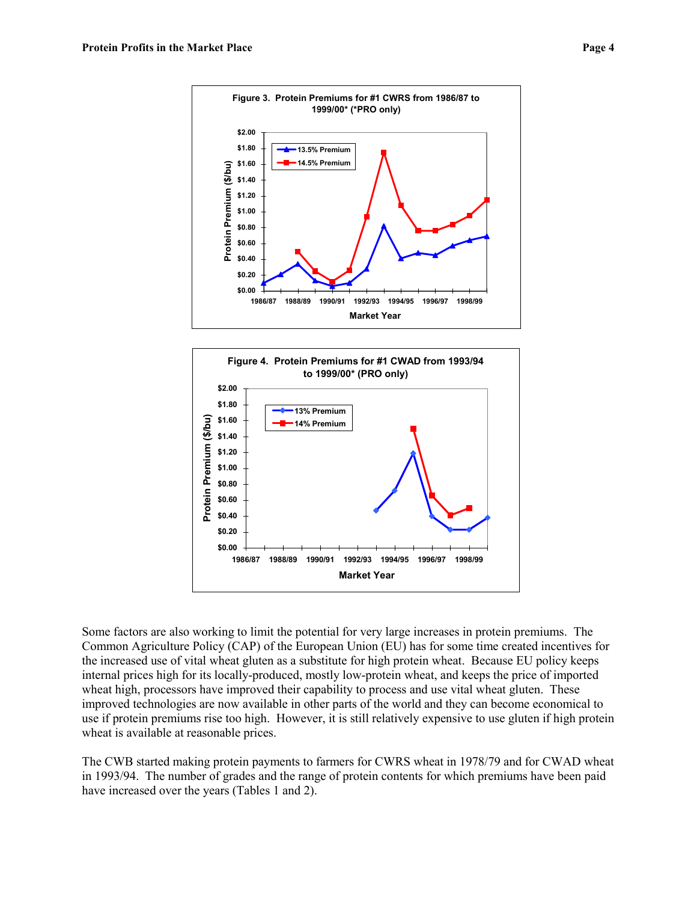



Some factors are also working to limit the potential for very large increases in protein premiums. The Common Agriculture Policy (CAP) of the European Union (EU) has for some time created incentives for the increased use of vital wheat gluten as a substitute for high protein wheat. Because EU policy keeps internal prices high for its locally-produced, mostly low-protein wheat, and keeps the price of imported wheat high, processors have improved their capability to process and use vital wheat gluten. These improved technologies are now available in other parts of the world and they can become economical to use if protein premiums rise too high. However, it is still relatively expensive to use gluten if high protein wheat is available at reasonable prices.

The CWB started making protein payments to farmers for CWRS wheat in 1978/79 and for CWAD wheat in 1993/94. The number of grades and the range of protein contents for which premiums have been paid have increased over the years (Tables 1 and 2).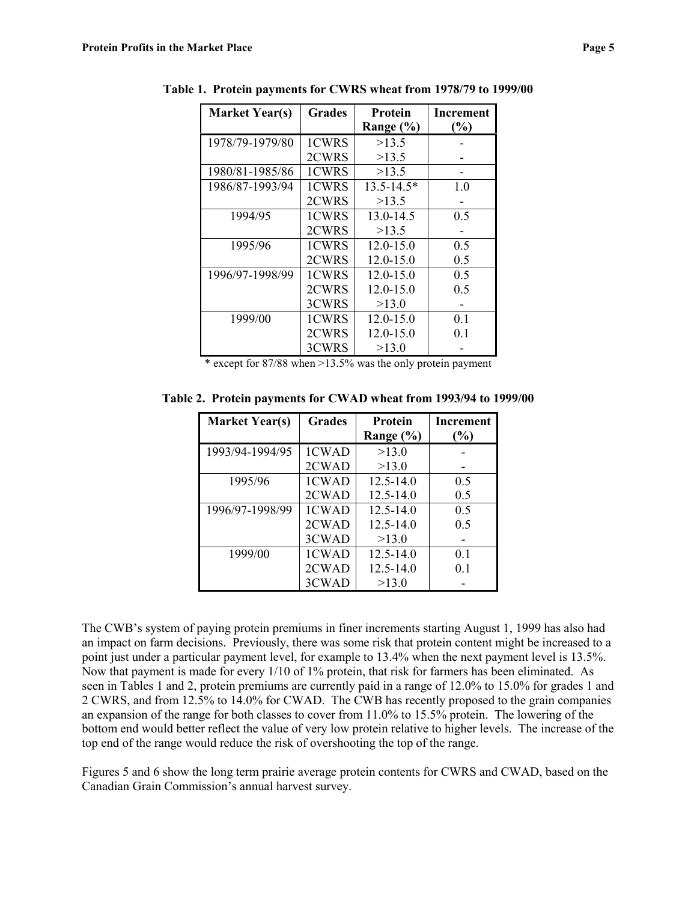| <b>Market Year(s)</b> | <b>Grades</b> | Protein        | Increment |
|-----------------------|---------------|----------------|-----------|
|                       |               | Range (%)      | (%)       |
| 1978/79-1979/80       | 1CWRS         | >13.5          |           |
|                       | 2CWRS         | >13.5          |           |
| 1980/81-1985/86       | 1CWRS         | >13.5          |           |
| 1986/87-1993/94       | 1CWRS         | $13.5 - 14.5*$ | 1.0       |
|                       | 2CWRS         | >13.5          |           |
| 1994/95               | 1CWRS         | 13.0-14.5      | 0.5       |
|                       | 2CWRS         | >13.5          |           |
| 1995/96               | 1CWRS         | $12.0 - 15.0$  | 0.5       |
|                       | 2CWRS         | $12.0 - 15.0$  | 0.5       |
| 1996/97-1998/99       | 1CWRS         | $12.0 - 15.0$  | 0.5       |
|                       | 2CWRS         | $12.0 - 15.0$  | 0.5       |
|                       | 3CWRS         | >13.0          |           |
| 1999/00               | 1CWRS         | $12.0 - 15.0$  | 0.1       |
|                       | 2CWRS         | $12.0 - 15.0$  | 0.1       |
|                       | 3CWRS         | >13.0          |           |

**Table 1. Protein payments for CWRS wheat from 1978/79 to 1999/00**

\* except for 87/88 when >13.5% was the only protein payment

**Table 2. Protein payments for CWAD wheat from 1993/94 to 1999/00**

| <b>Market Year(s)</b> | <b>Grades</b> | Protein       | <b>Increment</b> |
|-----------------------|---------------|---------------|------------------|
|                       |               | Range $(\% )$ | (%)              |
| 1993/94-1994/95       | 1CWAD         | >13.0         |                  |
|                       | 2CWAD         | >13.0         |                  |
| 1995/96               | 1CWAD         | $12.5 - 14.0$ | 0.5              |
|                       | 2CWAD         | $12.5 - 14.0$ | 0.5              |
| 1996/97-1998/99       | 1CWAD         | $12.5 - 14.0$ | 0.5              |
|                       | 2CWAD         | $12.5 - 14.0$ | 0.5              |
|                       | 3CWAD         | >13.0         |                  |
| 1999/00               | 1CWAD         | $12.5 - 14.0$ | 0.1              |
|                       | 2CWAD         | $12.5 - 14.0$ | 0 <sub>1</sub>   |
|                       | 3CWAD         | >13.0         |                  |

The CWB's system of paying protein premiums in finer increments starting August 1, 1999 has also had an impact on farm decisions. Previously, there was some risk that protein content might be increased to a point just under a particular payment level, for example to 13.4% when the next payment level is 13.5%. Now that payment is made for every 1/10 of 1% protein, that risk for farmers has been eliminated. As seen in Tables 1 and 2, protein premiums are currently paid in a range of 12.0% to 15.0% for grades 1 and 2 CWRS, and from 12.5% to 14.0% for CWAD. The CWB has recently proposed to the grain companies an expansion of the range for both classes to cover from 11.0% to 15.5% protein. The lowering of the bottom end would better reflect the value of very low protein relative to higher levels. The increase of the top end of the range would reduce the risk of overshooting the top of the range.

Figures 5 and 6 show the long term prairie average protein contents for CWRS and CWAD, based on the Canadian Grain Commission's annual harvest survey.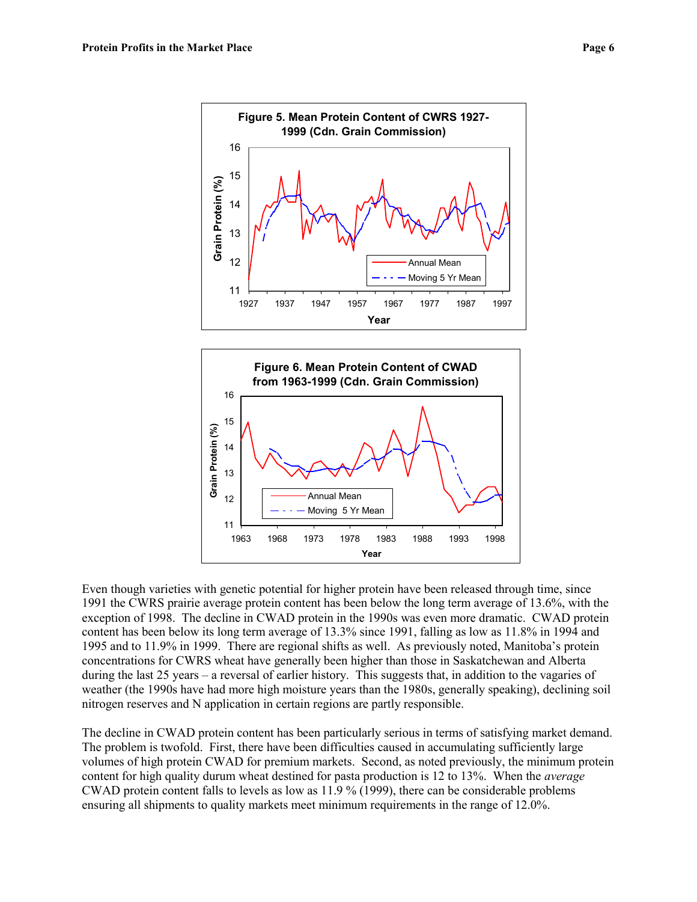



Even though varieties with genetic potential for higher protein have been released through time, since 1991 the CWRS prairie average protein content has been below the long term average of 13.6%, with the exception of 1998. The decline in CWAD protein in the 1990s was even more dramatic. CWAD protein content has been below its long term average of 13.3% since 1991, falling as low as 11.8% in 1994 and 1995 and to 11.9% in 1999. There are regional shifts as well. As previously noted, Manitoba's protein concentrations for CWRS wheat have generally been higher than those in Saskatchewan and Alberta during the last 25 years – a reversal of earlier history. This suggests that, in addition to the vagaries of weather (the 1990s have had more high moisture years than the 1980s, generally speaking), declining soil nitrogen reserves and N application in certain regions are partly responsible.

The decline in CWAD protein content has been particularly serious in terms of satisfying market demand. The problem is twofold. First, there have been difficulties caused in accumulating sufficiently large volumes of high protein CWAD for premium markets. Second, as noted previously, the minimum protein content for high quality durum wheat destined for pasta production is 12 to 13%. When the *average* CWAD protein content falls to levels as low as 11.9 % (1999), there can be considerable problems ensuring all shipments to quality markets meet minimum requirements in the range of 12.0%.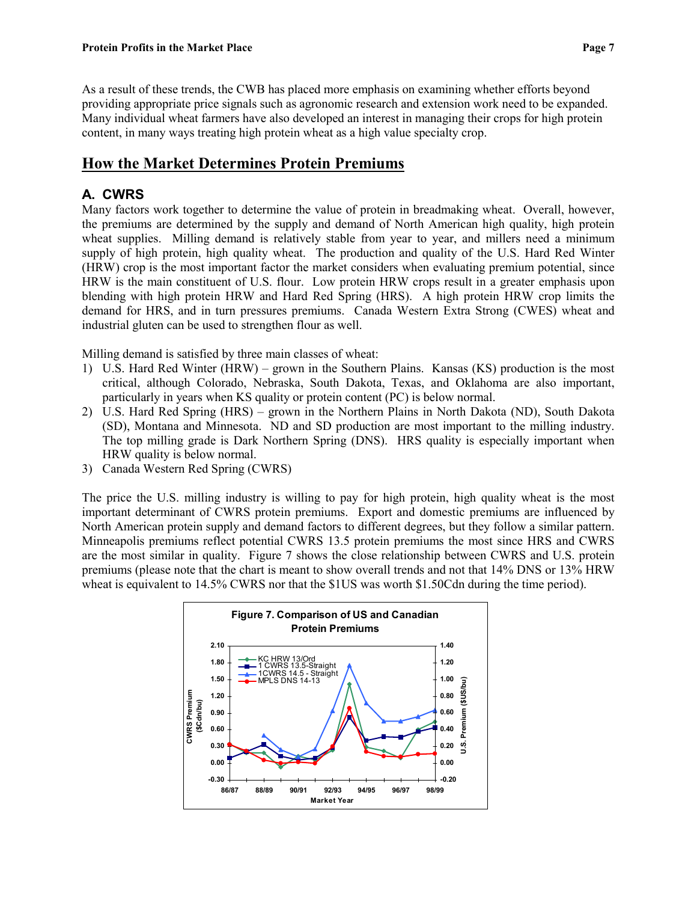As a result of these trends, the CWB has placed more emphasis on examining whether efforts beyond providing appropriate price signals such as agronomic research and extension work need to be expanded. Many individual wheat farmers have also developed an interest in managing their crops for high protein content, in many ways treating high protein wheat as a high value specialty crop.

# **How the Market Determines Protein Premiums**

## **A. CWRS**

Many factors work together to determine the value of protein in breadmaking wheat. Overall, however, the premiums are determined by the supply and demand of North American high quality, high protein wheat supplies. Milling demand is relatively stable from year to year, and millers need a minimum supply of high protein, high quality wheat. The production and quality of the U.S. Hard Red Winter (HRW) crop is the most important factor the market considers when evaluating premium potential, since HRW is the main constituent of U.S. flour. Low protein HRW crops result in a greater emphasis upon blending with high protein HRW and Hard Red Spring (HRS). A high protein HRW crop limits the demand for HRS, and in turn pressures premiums. Canada Western Extra Strong (CWES) wheat and industrial gluten can be used to strengthen flour as well.

Milling demand is satisfied by three main classes of wheat:

- 1) U.S. Hard Red Winter (HRW) grown in the Southern Plains. Kansas (KS) production is the most critical, although Colorado, Nebraska, South Dakota, Texas, and Oklahoma are also important, particularly in years when KS quality or protein content (PC) is below normal.
- 2) U.S. Hard Red Spring (HRS) grown in the Northern Plains in North Dakota (ND), South Dakota (SD), Montana and Minnesota. ND and SD production are most important to the milling industry. The top milling grade is Dark Northern Spring (DNS). HRS quality is especially important when HRW quality is below normal.
- 3) Canada Western Red Spring (CWRS)

The price the U.S. milling industry is willing to pay for high protein, high quality wheat is the most important determinant of CWRS protein premiums. Export and domestic premiums are influenced by North American protein supply and demand factors to different degrees, but they follow a similar pattern. Minneapolis premiums reflect potential CWRS 13.5 protein premiums the most since HRS and CWRS are the most similar in quality. Figure 7 shows the close relationship between CWRS and U.S. protein premiums (please note that the chart is meant to show overall trends and not that 14% DNS or 13% HRW wheat is equivalent to 14.5% CWRS nor that the \$1US was worth \$1.50Cdn during the time period).

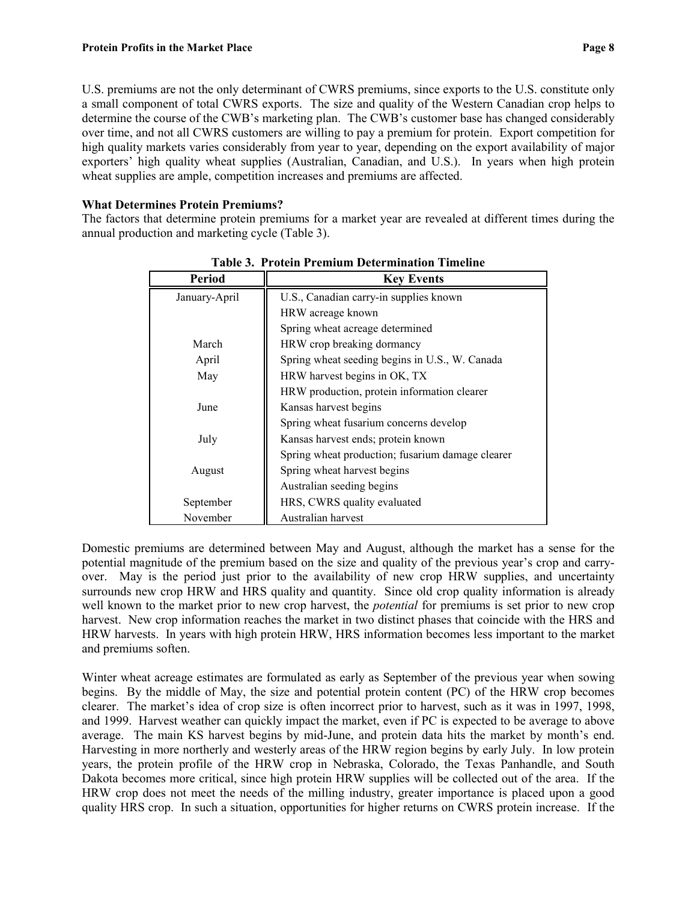U.S. premiums are not the only determinant of CWRS premiums, since exports to the U.S. constitute only a small component of total CWRS exports. The size and quality of the Western Canadian crop helps to determine the course of the CWB's marketing plan. The CWB's customer base has changed considerably over time, and not all CWRS customers are willing to pay a premium for protein. Export competition for high quality markets varies considerably from year to year, depending on the export availability of major exporters' high quality wheat supplies (Australian, Canadian, and U.S.). In years when high protein wheat supplies are ample, competition increases and premiums are affected.

#### **What Determines Protein Premiums?**

The factors that determine protein premiums for a market year are revealed at different times during the annual production and marketing cycle (Table 3).

| <b>Period</b> | <b>Key Events</b>                                |
|---------------|--------------------------------------------------|
| January-April | U.S., Canadian carry-in supplies known           |
|               | HRW acreage known                                |
|               | Spring wheat acreage determined                  |
| March         | HRW crop breaking dormancy                       |
| April         | Spring wheat seeding begins in U.S., W. Canada   |
| May           | HRW harvest begins in OK, TX                     |
|               | HRW production, protein information clearer      |
| June          | Kansas harvest begins                            |
|               | Spring wheat fusarium concerns develop           |
| July          | Kansas harvest ends; protein known               |
|               | Spring wheat production; fusarium damage clearer |
| August        | Spring wheat harvest begins                      |
|               | Australian seeding begins                        |
| September     | HRS, CWRS quality evaluated                      |
| November      | Australian harvest                               |

**Table 3. Protein Premium Determination Timeline**

Domestic premiums are determined between May and August, although the market has a sense for the potential magnitude of the premium based on the size and quality of the previous year's crop and carryover. May is the period just prior to the availability of new crop HRW supplies, and uncertainty surrounds new crop HRW and HRS quality and quantity. Since old crop quality information is already well known to the market prior to new crop harvest, the *potential* for premiums is set prior to new crop harvest. New crop information reaches the market in two distinct phases that coincide with the HRS and HRW harvests. In years with high protein HRW, HRS information becomes less important to the market and premiums soften.

Winter wheat acreage estimates are formulated as early as September of the previous year when sowing begins. By the middle of May, the size and potential protein content (PC) of the HRW crop becomes clearer. The market's idea of crop size is often incorrect prior to harvest, such as it was in 1997, 1998, and 1999. Harvest weather can quickly impact the market, even if PC is expected to be average to above average. The main KS harvest begins by mid-June, and protein data hits the market by month's end. Harvesting in more northerly and westerly areas of the HRW region begins by early July. In low protein years, the protein profile of the HRW crop in Nebraska, Colorado, the Texas Panhandle, and South Dakota becomes more critical, since high protein HRW supplies will be collected out of the area. If the HRW crop does not meet the needs of the milling industry, greater importance is placed upon a good quality HRS crop. In such a situation, opportunities for higher returns on CWRS protein increase. If the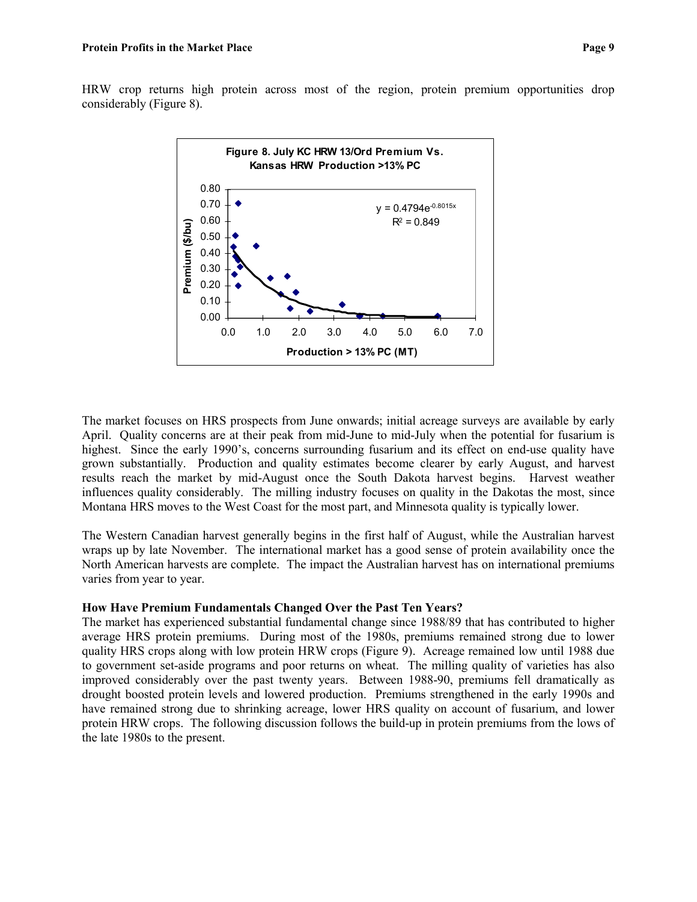HRW crop returns high protein across most of the region, protein premium opportunities drop considerably (Figure 8).



The market focuses on HRS prospects from June onwards; initial acreage surveys are available by early April. Quality concerns are at their peak from mid-June to mid-July when the potential for fusarium is highest. Since the early 1990's, concerns surrounding fusarium and its effect on end-use quality have grown substantially. Production and quality estimates become clearer by early August, and harvest results reach the market by mid-August once the South Dakota harvest begins. Harvest weather influences quality considerably. The milling industry focuses on quality in the Dakotas the most, since Montana HRS moves to the West Coast for the most part, and Minnesota quality is typically lower.

The Western Canadian harvest generally begins in the first half of August, while the Australian harvest wraps up by late November. The international market has a good sense of protein availability once the North American harvests are complete. The impact the Australian harvest has on international premiums varies from year to year.

#### **How Have Premium Fundamentals Changed Over the Past Ten Years?**

The market has experienced substantial fundamental change since 1988/89 that has contributed to higher average HRS protein premiums. During most of the 1980s, premiums remained strong due to lower quality HRS crops along with low protein HRW crops (Figure 9). Acreage remained low until 1988 due to government set-aside programs and poor returns on wheat. The milling quality of varieties has also improved considerably over the past twenty years. Between 1988-90, premiums fell dramatically as drought boosted protein levels and lowered production. Premiums strengthened in the early 1990s and have remained strong due to shrinking acreage, lower HRS quality on account of fusarium, and lower protein HRW crops. The following discussion follows the build-up in protein premiums from the lows of the late 1980s to the present.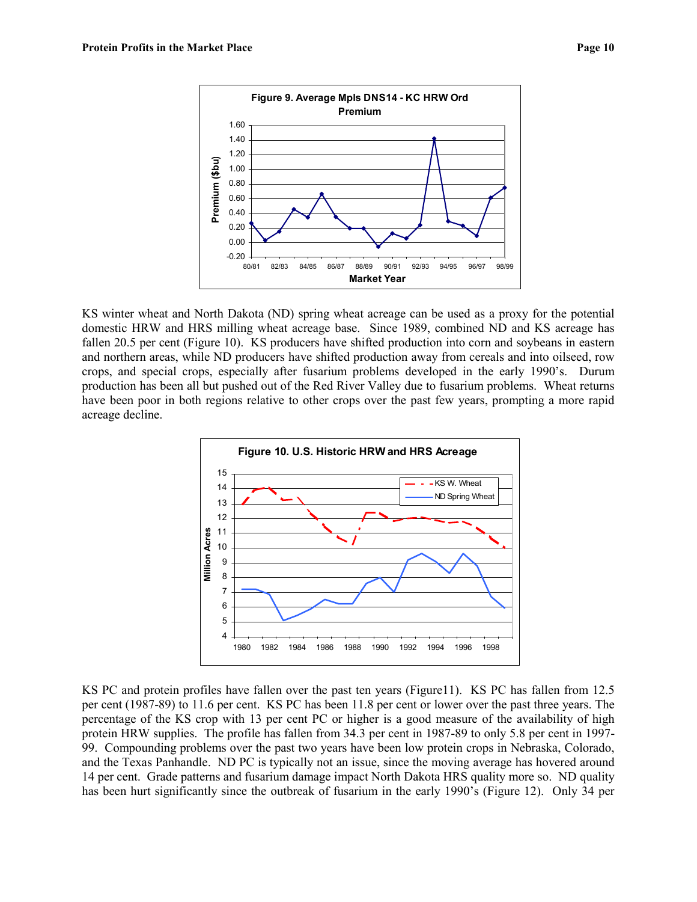

KS winter wheat and North Dakota (ND) spring wheat acreage can be used as a proxy for the potential domestic HRW and HRS milling wheat acreage base. Since 1989, combined ND and KS acreage has fallen 20.5 per cent (Figure 10). KS producers have shifted production into corn and soybeans in eastern and northern areas, while ND producers have shifted production away from cereals and into oilseed, row crops, and special crops, especially after fusarium problems developed in the early 1990's. Durum production has been all but pushed out of the Red River Valley due to fusarium problems. Wheat returns have been poor in both regions relative to other crops over the past few years, prompting a more rapid acreage decline.



KS PC and protein profiles have fallen over the past ten years (Figure11). KS PC has fallen from 12.5 per cent (1987-89) to 11.6 per cent. KS PC has been 11.8 per cent or lower over the past three years. The percentage of the KS crop with 13 per cent PC or higher is a good measure of the availability of high protein HRW supplies. The profile has fallen from 34.3 per cent in 1987-89 to only 5.8 per cent in 1997- 99. Compounding problems over the past two years have been low protein crops in Nebraska, Colorado, and the Texas Panhandle. ND PC is typically not an issue, since the moving average has hovered around 14 per cent. Grade patterns and fusarium damage impact North Dakota HRS quality more so. ND quality has been hurt significantly since the outbreak of fusarium in the early 1990's (Figure 12). Only 34 per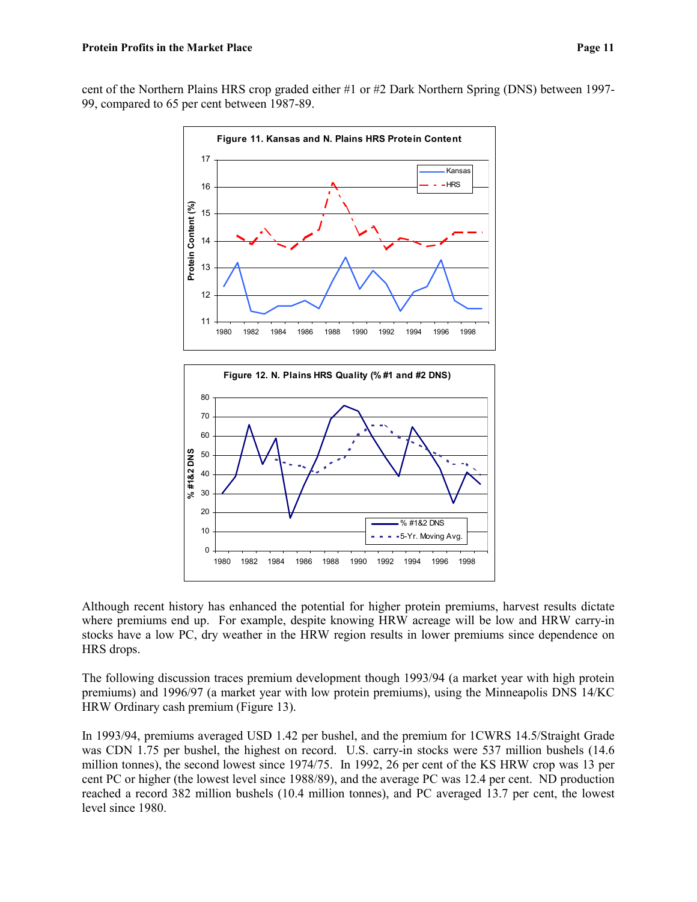cent of the Northern Plains HRS crop graded either #1 or #2 Dark Northern Spring (DNS) between 1997- 99, compared to 65 per cent between 1987-89.





Although recent history has enhanced the potential for higher protein premiums, harvest results dictate where premiums end up. For example, despite knowing HRW acreage will be low and HRW carry-in stocks have a low PC, dry weather in the HRW region results in lower premiums since dependence on HRS drops.

The following discussion traces premium development though 1993/94 (a market year with high protein premiums) and 1996/97 (a market year with low protein premiums), using the Minneapolis DNS 14/KC HRW Ordinary cash premium (Figure 13).

In 1993/94, premiums averaged USD 1.42 per bushel, and the premium for 1CWRS 14.5/Straight Grade was CDN 1.75 per bushel, the highest on record. U.S. carry-in stocks were 537 million bushels (14.6 million tonnes), the second lowest since 1974/75. In 1992, 26 per cent of the KS HRW crop was 13 per cent PC or higher (the lowest level since 1988/89), and the average PC was 12.4 per cent. ND production reached a record 382 million bushels (10.4 million tonnes), and PC averaged 13.7 per cent, the lowest level since 1980.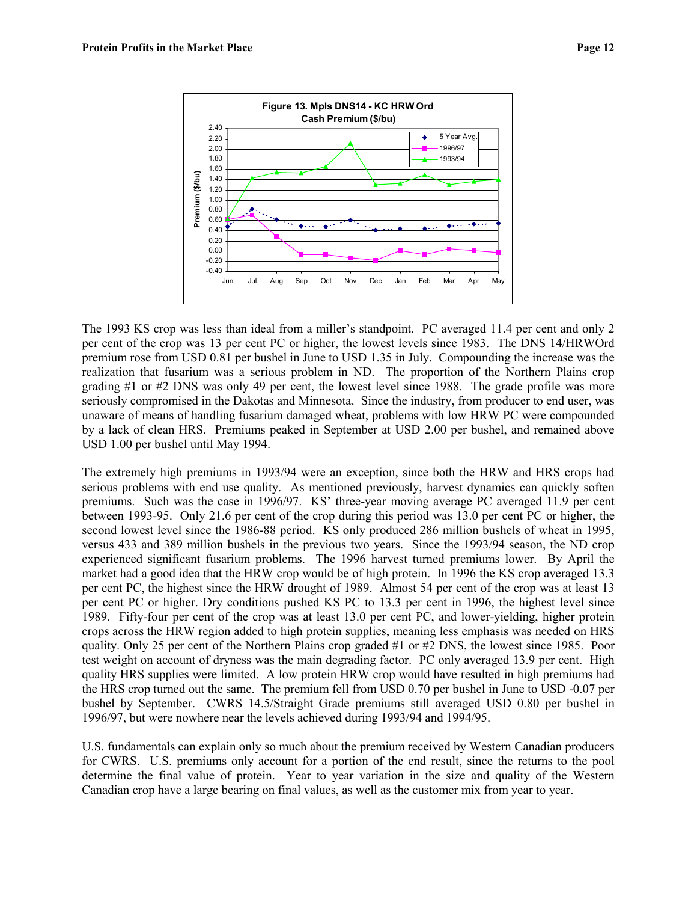

The 1993 KS crop was less than ideal from a miller's standpoint. PC averaged 11.4 per cent and only 2 per cent of the crop was 13 per cent PC or higher, the lowest levels since 1983. The DNS 14/HRWOrd premium rose from USD 0.81 per bushel in June to USD 1.35 in July. Compounding the increase was the realization that fusarium was a serious problem in ND. The proportion of the Northern Plains crop grading #1 or #2 DNS was only 49 per cent, the lowest level since 1988. The grade profile was more seriously compromised in the Dakotas and Minnesota. Since the industry, from producer to end user, was unaware of means of handling fusarium damaged wheat, problems with low HRW PC were compounded by a lack of clean HRS. Premiums peaked in September at USD 2.00 per bushel, and remained above USD 1.00 per bushel until May 1994.

The extremely high premiums in 1993/94 were an exception, since both the HRW and HRS crops had serious problems with end use quality. As mentioned previously, harvest dynamics can quickly soften premiums. Such was the case in 1996/97. KS' three-year moving average PC averaged 11.9 per cent between 1993-95. Only 21.6 per cent of the crop during this period was 13.0 per cent PC or higher, the second lowest level since the 1986-88 period. KS only produced 286 million bushels of wheat in 1995, versus 433 and 389 million bushels in the previous two years. Since the 1993/94 season, the ND crop experienced significant fusarium problems. The 1996 harvest turned premiums lower. By April the market had a good idea that the HRW crop would be of high protein. In 1996 the KS crop averaged 13.3 per cent PC, the highest since the HRW drought of 1989. Almost 54 per cent of the crop was at least 13 per cent PC or higher. Dry conditions pushed KS PC to 13.3 per cent in 1996, the highest level since 1989. Fifty-four per cent of the crop was at least 13.0 per cent PC, and lower-yielding, higher protein crops across the HRW region added to high protein supplies, meaning less emphasis was needed on HRS quality. Only 25 per cent of the Northern Plains crop graded #1 or #2 DNS, the lowest since 1985. Poor test weight on account of dryness was the main degrading factor. PC only averaged 13.9 per cent. High quality HRS supplies were limited. A low protein HRW crop would have resulted in high premiums had the HRS crop turned out the same. The premium fell from USD 0.70 per bushel in June to USD -0.07 per bushel by September. CWRS 14.5/Straight Grade premiums still averaged USD 0.80 per bushel in 1996/97, but were nowhere near the levels achieved during 1993/94 and 1994/95.

U.S. fundamentals can explain only so much about the premium received by Western Canadian producers for CWRS. U.S. premiums only account for a portion of the end result, since the returns to the pool determine the final value of protein. Year to year variation in the size and quality of the Western Canadian crop have a large bearing on final values, as well as the customer mix from year to year.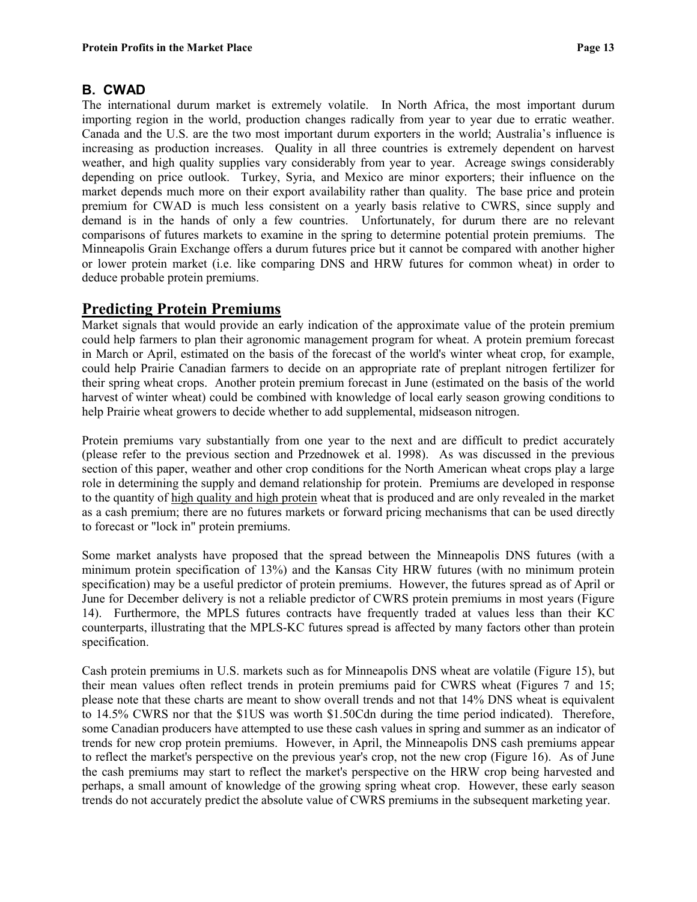#### **B. CWAD**

The international durum market is extremely volatile. In North Africa, the most important durum importing region in the world, production changes radically from year to year due to erratic weather. Canada and the U.S. are the two most important durum exporters in the world; Australia's influence is increasing as production increases. Quality in all three countries is extremely dependent on harvest weather, and high quality supplies vary considerably from year to year. Acreage swings considerably depending on price outlook. Turkey, Syria, and Mexico are minor exporters; their influence on the market depends much more on their export availability rather than quality. The base price and protein premium for CWAD is much less consistent on a yearly basis relative to CWRS, since supply and demand is in the hands of only a few countries. Unfortunately, for durum there are no relevant comparisons of futures markets to examine in the spring to determine potential protein premiums. The Minneapolis Grain Exchange offers a durum futures price but it cannot be compared with another higher or lower protein market (i.e. like comparing DNS and HRW futures for common wheat) in order to deduce probable protein premiums.

### **Predicting Protein Premiums**

Market signals that would provide an early indication of the approximate value of the protein premium could help farmers to plan their agronomic management program for wheat. A protein premium forecast in March or April, estimated on the basis of the forecast of the world's winter wheat crop, for example, could help Prairie Canadian farmers to decide on an appropriate rate of preplant nitrogen fertilizer for their spring wheat crops. Another protein premium forecast in June (estimated on the basis of the world harvest of winter wheat) could be combined with knowledge of local early season growing conditions to help Prairie wheat growers to decide whether to add supplemental, midseason nitrogen.

Protein premiums vary substantially from one year to the next and are difficult to predict accurately (please refer to the previous section and Przednowek et al. 1998). As was discussed in the previous section of this paper, weather and other crop conditions for the North American wheat crops play a large role in determining the supply and demand relationship for protein. Premiums are developed in response to the quantity of high quality and high protein wheat that is produced and are only revealed in the market as a cash premium; there are no futures markets or forward pricing mechanisms that can be used directly to forecast or "lock in" protein premiums.

Some market analysts have proposed that the spread between the Minneapolis DNS futures (with a minimum protein specification of 13%) and the Kansas City HRW futures (with no minimum protein specification) may be a useful predictor of protein premiums. However, the futures spread as of April or June for December delivery is not a reliable predictor of CWRS protein premiums in most years (Figure 14). Furthermore, the MPLS futures contracts have frequently traded at values less than their KC counterparts, illustrating that the MPLS-KC futures spread is affected by many factors other than protein specification.

Cash protein premiums in U.S. markets such as for Minneapolis DNS wheat are volatile (Figure 15), but their mean values often reflect trends in protein premiums paid for CWRS wheat (Figures 7 and 15; please note that these charts are meant to show overall trends and not that 14% DNS wheat is equivalent to 14.5% CWRS nor that the \$1US was worth \$1.50Cdn during the time period indicated). Therefore, some Canadian producers have attempted to use these cash values in spring and summer as an indicator of trends for new crop protein premiums. However, in April, the Minneapolis DNS cash premiums appear to reflect the market's perspective on the previous year's crop, not the new crop (Figure 16). As of June the cash premiums may start to reflect the market's perspective on the HRW crop being harvested and perhaps, a small amount of knowledge of the growing spring wheat crop. However, these early season trends do not accurately predict the absolute value of CWRS premiums in the subsequent marketing year.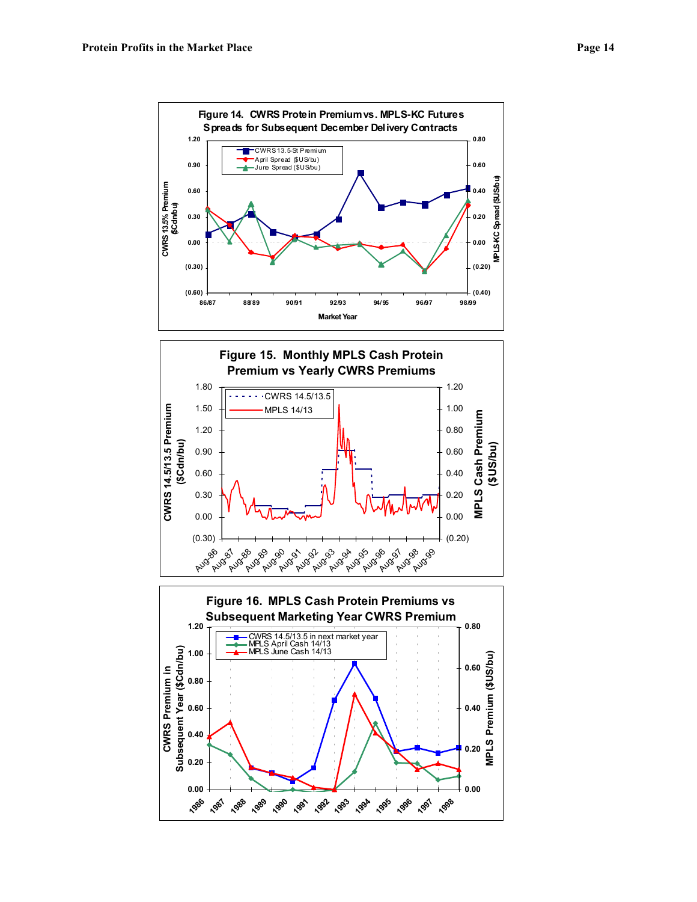

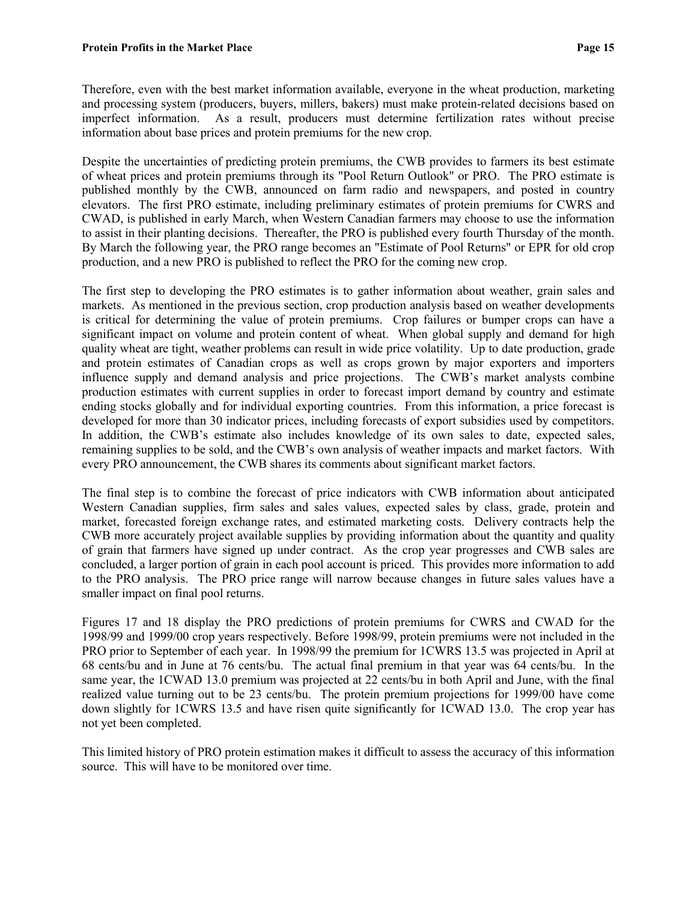Therefore, even with the best market information available, everyone in the wheat production, marketing and processing system (producers, buyers, millers, bakers) must make protein-related decisions based on imperfect information. As a result, producers must determine fertilization rates without precise information about base prices and protein premiums for the new crop.

Despite the uncertainties of predicting protein premiums, the CWB provides to farmers its best estimate of wheat prices and protein premiums through its "Pool Return Outlook" or PRO. The PRO estimate is published monthly by the CWB, announced on farm radio and newspapers, and posted in country elevators. The first PRO estimate, including preliminary estimates of protein premiums for CWRS and CWAD, is published in early March, when Western Canadian farmers may choose to use the information to assist in their planting decisions. Thereafter, the PRO is published every fourth Thursday of the month. By March the following year, the PRO range becomes an "Estimate of Pool Returns" or EPR for old crop production, and a new PRO is published to reflect the PRO for the coming new crop.

The first step to developing the PRO estimates is to gather information about weather, grain sales and markets. As mentioned in the previous section, crop production analysis based on weather developments is critical for determining the value of protein premiums. Crop failures or bumper crops can have a significant impact on volume and protein content of wheat. When global supply and demand for high quality wheat are tight, weather problems can result in wide price volatility. Up to date production, grade and protein estimates of Canadian crops as well as crops grown by major exporters and importers influence supply and demand analysis and price projections. The CWB's market analysts combine production estimates with current supplies in order to forecast import demand by country and estimate ending stocks globally and for individual exporting countries. From this information, a price forecast is developed for more than 30 indicator prices, including forecasts of export subsidies used by competitors. In addition, the CWB's estimate also includes knowledge of its own sales to date, expected sales, remaining supplies to be sold, and the CWB's own analysis of weather impacts and market factors. With every PRO announcement, the CWB shares its comments about significant market factors.

The final step is to combine the forecast of price indicators with CWB information about anticipated Western Canadian supplies, firm sales and sales values, expected sales by class, grade, protein and market, forecasted foreign exchange rates, and estimated marketing costs. Delivery contracts help the CWB more accurately project available supplies by providing information about the quantity and quality of grain that farmers have signed up under contract. As the crop year progresses and CWB sales are concluded, a larger portion of grain in each pool account is priced. This provides more information to add to the PRO analysis. The PRO price range will narrow because changes in future sales values have a smaller impact on final pool returns.

Figures 17 and 18 display the PRO predictions of protein premiums for CWRS and CWAD for the 1998/99 and 1999/00 crop years respectively. Before 1998/99, protein premiums were not included in the PRO prior to September of each year. In 1998/99 the premium for 1CWRS 13.5 was projected in April at 68 cents/bu and in June at 76 cents/bu. The actual final premium in that year was 64 cents/bu. In the same year, the 1CWAD 13.0 premium was projected at 22 cents/bu in both April and June, with the final realized value turning out to be 23 cents/bu. The protein premium projections for 1999/00 have come down slightly for 1CWRS 13.5 and have risen quite significantly for 1CWAD 13.0. The crop year has not yet been completed.

This limited history of PRO protein estimation makes it difficult to assess the accuracy of this information source. This will have to be monitored over time.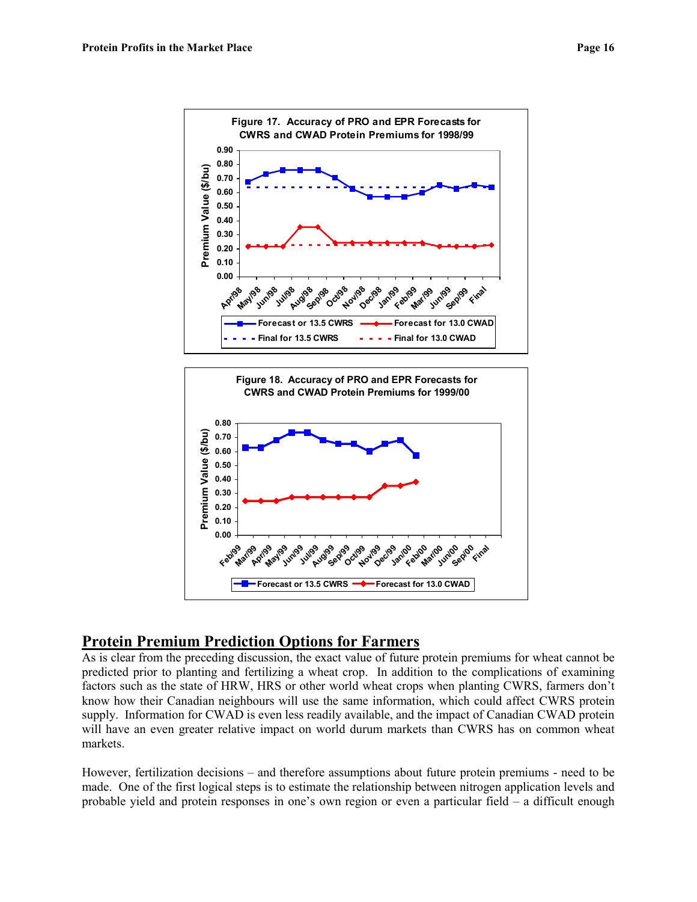



## **Protein Premium Prediction Options for Farmers**

As is clear from the preceding discussion, the exact value of future protein premiums for wheat cannot be predicted prior to planting and fertilizing a wheat crop. In addition to the complications of examining factors such as the state of HRW, HRS or other world wheat crops when planting CWRS, farmers don't know how their Canadian neighbours will use the same information, which could affect CWRS protein supply. Information for CWAD is even less readily available, and the impact of Canadian CWAD protein will have an even greater relative impact on world durum markets than CWRS has on common wheat markets.

However, fertilization decisions – and therefore assumptions about future protein premiums - need to be made. One of the first logical steps is to estimate the relationship between nitrogen application levels and probable yield and protein responses in one's own region or even a particular field – a difficult enough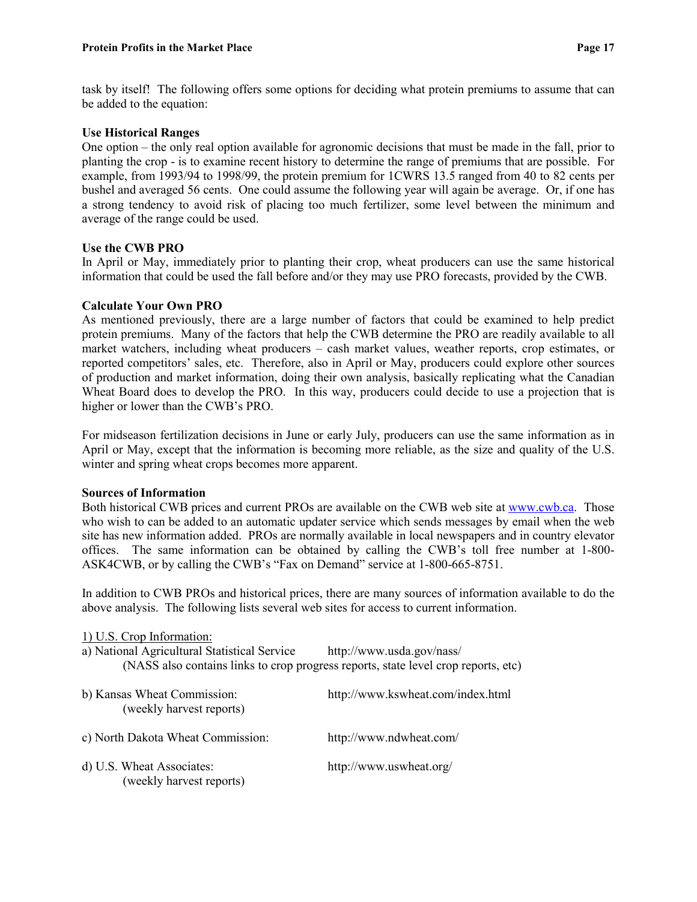task by itself! The following offers some options for deciding what protein premiums to assume that can be added to the equation:

#### **Use Historical Ranges**

One option – the only real option available for agronomic decisions that must be made in the fall, prior to planting the crop - is to examine recent history to determine the range of premiums that are possible. For example, from 1993/94 to 1998/99, the protein premium for 1CWRS 13.5 ranged from 40 to 82 cents per bushel and averaged 56 cents. One could assume the following year will again be average. Or, if one has a strong tendency to avoid risk of placing too much fertilizer, some level between the minimum and average of the range could be used.

#### **Use the CWB PRO**

In April or May, immediately prior to planting their crop, wheat producers can use the same historical information that could be used the fall before and/or they may use PRO forecasts, provided by the CWB.

#### **Calculate Your Own PRO**

As mentioned previously, there are a large number of factors that could be examined to help predict protein premiums. Many of the factors that help the CWB determine the PRO are readily available to all market watchers, including wheat producers – cash market values, weather reports, crop estimates, or reported competitors' sales, etc. Therefore, also in April or May, producers could explore other sources of production and market information, doing their own analysis, basically replicating what the Canadian Wheat Board does to develop the PRO. In this way, producers could decide to use a projection that is higher or lower than the CWB's PRO.

For midseason fertilization decisions in June or early July, producers can use the same information as in April or May, except that the information is becoming more reliable, as the size and quality of the U.S. winter and spring wheat crops becomes more apparent.

#### **Sources of Information**

Both historical CWB prices and current PROs are available on the CWB web site at [www.cwb.ca.](http://www.cwb.ca/) Those who wish to can be added to an automatic updater service which sends messages by email when the web site has new information added. PROs are normally available in local newspapers and in country elevator offices. The same information can be obtained by calling the CWB's toll free number at 1-800- ASK4CWB, or by calling the CWB's "Fax on Demand" service at 1-800-665-8751.

In addition to CWB PROs and historical prices, there are many sources of information available to do the above analysis. The following lists several web sites for access to current information.

#### 1) U.S. Crop Information:

| a) National Agricultural Statistical Service | http://www.usda.gov/nass/                                                          |
|----------------------------------------------|------------------------------------------------------------------------------------|
|                                              | (NASS also contains links to crop progress reports, state level crop reports, etc) |

| b) Kansas Wheat Commission:<br>(weekly harvest reports) | http://www.kswheat.com/index.html |  |
|---------------------------------------------------------|-----------------------------------|--|
| c) North Dakota Wheat Commission:                       | http://www.ndwheat.com/           |  |
| d) U.S. Wheat Associates:<br>(weekly harvest reports)   | http://www.uswheat.org/           |  |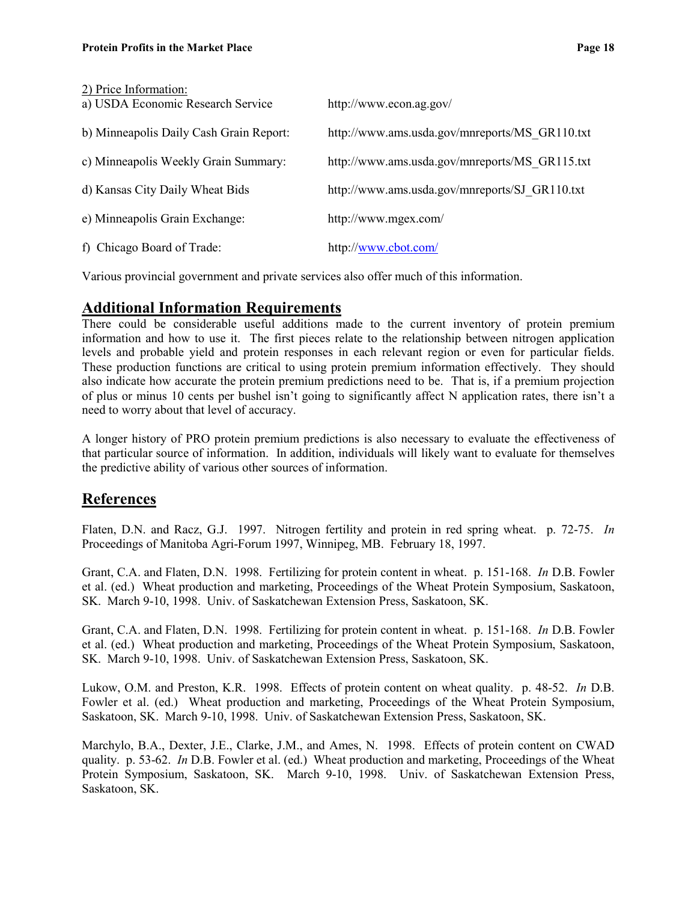| 2) Price Information:<br>a) USDA Economic Research Service | http://www.econ.ag.gov/                        |
|------------------------------------------------------------|------------------------------------------------|
| b) Minneapolis Daily Cash Grain Report:                    | http://www.ams.usda.gov/mnreports/MS GR110.txt |
| c) Minneapolis Weekly Grain Summary:                       | http://www.ams.usda.gov/mnreports/MS GR115.txt |
| d) Kansas City Daily Wheat Bids                            | http://www.ams.usda.gov/mnreports/SJ GR110.txt |
| e) Minneapolis Grain Exchange:                             | http://www.mgex.com/                           |
| f) Chicago Board of Trade:                                 | http://www.cbot.com/                           |

Various provincial government and private services also offer much of this information.

### **Additional Information Requirements**

There could be considerable useful additions made to the current inventory of protein premium information and how to use it. The first pieces relate to the relationship between nitrogen application levels and probable yield and protein responses in each relevant region or even for particular fields. These production functions are critical to using protein premium information effectively. They should also indicate how accurate the protein premium predictions need to be. That is, if a premium projection of plus or minus 10 cents per bushel isn't going to significantly affect N application rates, there isn't a need to worry about that level of accuracy.

A longer history of PRO protein premium predictions is also necessary to evaluate the effectiveness of that particular source of information. In addition, individuals will likely want to evaluate for themselves the predictive ability of various other sources of information.

#### **References**

Flaten, D.N. and Racz, G.J. 1997. Nitrogen fertility and protein in red spring wheat. p. 72-75. *In* Proceedings of Manitoba Agri-Forum 1997, Winnipeg, MB. February 18, 1997.

Grant, C.A. and Flaten, D.N. 1998. Fertilizing for protein content in wheat. p. 151-168. *In* D.B. Fowler et al. (ed.) Wheat production and marketing, Proceedings of the Wheat Protein Symposium, Saskatoon, SK. March 9-10, 1998. Univ. of Saskatchewan Extension Press, Saskatoon, SK.

Grant, C.A. and Flaten, D.N. 1998. Fertilizing for protein content in wheat. p. 151-168. *In* D.B. Fowler et al. (ed.) Wheat production and marketing, Proceedings of the Wheat Protein Symposium, Saskatoon, SK. March 9-10, 1998. Univ. of Saskatchewan Extension Press, Saskatoon, SK.

Lukow, O.M. and Preston, K.R. 1998. Effects of protein content on wheat quality. p. 48-52. *In* D.B. Fowler et al. (ed.) Wheat production and marketing, Proceedings of the Wheat Protein Symposium, Saskatoon, SK. March 9-10, 1998. Univ. of Saskatchewan Extension Press, Saskatoon, SK.

Marchylo, B.A., Dexter, J.E., Clarke, J.M., and Ames, N. 1998. Effects of protein content on CWAD quality. p. 53-62. *In* D.B. Fowler et al. (ed.) Wheat production and marketing, Proceedings of the Wheat Protein Symposium, Saskatoon, SK. March 9-10, 1998. Univ. of Saskatchewan Extension Press, Saskatoon, SK.